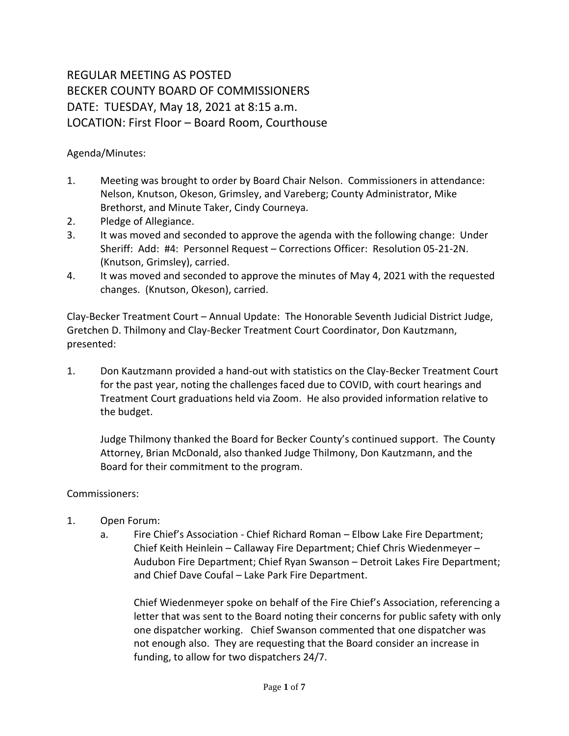## REGULAR MEETING AS POSTED BECKER COUNTY BOARD OF COMMISSIONERS DATE: TUESDAY, May 18, 2021 at 8:15 a.m. LOCATION: First Floor – Board Room, Courthouse

Agenda/Minutes:

- 1. Meeting was brought to order by Board Chair Nelson. Commissioners in attendance: Nelson, Knutson, Okeson, Grimsley, and Vareberg; County Administrator, Mike Brethorst, and Minute Taker, Cindy Courneya.
- 2. Pledge of Allegiance.
- 3. It was moved and seconded to approve the agenda with the following change: Under Sheriff: Add: #4: Personnel Request – Corrections Officer: Resolution 05-21-2N. (Knutson, Grimsley), carried.
- 4. It was moved and seconded to approve the minutes of May 4, 2021 with the requested changes. (Knutson, Okeson), carried.

Clay-Becker Treatment Court – Annual Update: The Honorable Seventh Judicial District Judge, Gretchen D. Thilmony and Clay-Becker Treatment Court Coordinator, Don Kautzmann, presented:

1. Don Kautzmann provided a hand-out with statistics on the Clay-Becker Treatment Court for the past year, noting the challenges faced due to COVID, with court hearings and Treatment Court graduations held via Zoom. He also provided information relative to the budget.

Judge Thilmony thanked the Board for Becker County's continued support. The County Attorney, Brian McDonald, also thanked Judge Thilmony, Don Kautzmann, and the Board for their commitment to the program.

## Commissioners:

- 1. Open Forum:
	- a. Fire Chief's Association Chief Richard Roman Elbow Lake Fire Department; Chief Keith Heinlein – Callaway Fire Department; Chief Chris Wiedenmeyer – Audubon Fire Department; Chief Ryan Swanson – Detroit Lakes Fire Department; and Chief Dave Coufal – Lake Park Fire Department.

Chief Wiedenmeyer spoke on behalf of the Fire Chief's Association, referencing a letter that was sent to the Board noting their concerns for public safety with only one dispatcher working. Chief Swanson commented that one dispatcher was not enough also. They are requesting that the Board consider an increase in funding, to allow for two dispatchers 24/7.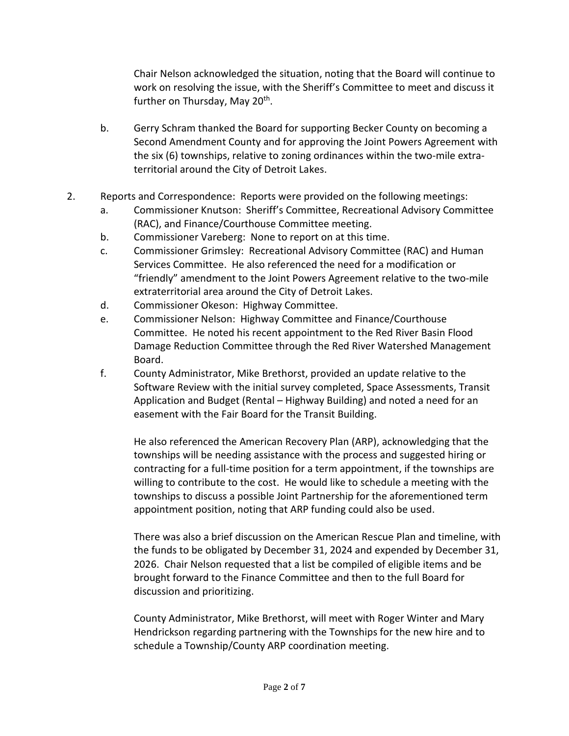Chair Nelson acknowledged the situation, noting that the Board will continue to work on resolving the issue, with the Sheriff's Committee to meet and discuss it further on Thursday, May 20<sup>th</sup>.

- b. Gerry Schram thanked the Board for supporting Becker County on becoming a Second Amendment County and for approving the Joint Powers Agreement with the six (6) townships, relative to zoning ordinances within the two-mile extraterritorial around the City of Detroit Lakes.
- 2. Reports and Correspondence: Reports were provided on the following meetings:
	- a. Commissioner Knutson: Sheriff's Committee, Recreational Advisory Committee (RAC), and Finance/Courthouse Committee meeting.
	- b. Commissioner Vareberg: None to report on at this time.
	- c. Commissioner Grimsley: Recreational Advisory Committee (RAC) and Human Services Committee. He also referenced the need for a modification or "friendly" amendment to the Joint Powers Agreement relative to the two-mile extraterritorial area around the City of Detroit Lakes.
	- d. Commissioner Okeson: Highway Committee.
	- e. Commissioner Nelson: Highway Committee and Finance/Courthouse Committee. He noted his recent appointment to the Red River Basin Flood Damage Reduction Committee through the Red River Watershed Management Board.
	- f. County Administrator, Mike Brethorst, provided an update relative to the Software Review with the initial survey completed, Space Assessments, Transit Application and Budget (Rental – Highway Building) and noted a need for an easement with the Fair Board for the Transit Building.

He also referenced the American Recovery Plan (ARP), acknowledging that the townships will be needing assistance with the process and suggested hiring or contracting for a full-time position for a term appointment, if the townships are willing to contribute to the cost. He would like to schedule a meeting with the townships to discuss a possible Joint Partnership for the aforementioned term appointment position, noting that ARP funding could also be used.

There was also a brief discussion on the American Rescue Plan and timeline, with the funds to be obligated by December 31, 2024 and expended by December 31, 2026. Chair Nelson requested that a list be compiled of eligible items and be brought forward to the Finance Committee and then to the full Board for discussion and prioritizing.

County Administrator, Mike Brethorst, will meet with Roger Winter and Mary Hendrickson regarding partnering with the Townships for the new hire and to schedule a Township/County ARP coordination meeting.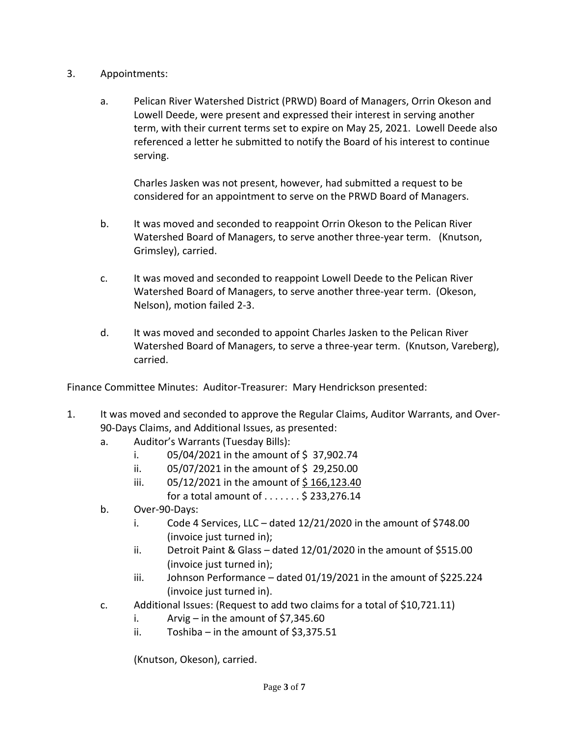- 3. Appointments:
	- a. Pelican River Watershed District (PRWD) Board of Managers, Orrin Okeson and Lowell Deede, were present and expressed their interest in serving another term, with their current terms set to expire on May 25, 2021. Lowell Deede also referenced a letter he submitted to notify the Board of his interest to continue serving.

Charles Jasken was not present, however, had submitted a request to be considered for an appointment to serve on the PRWD Board of Managers.

- b. It was moved and seconded to reappoint Orrin Okeson to the Pelican River Watershed Board of Managers, to serve another three-year term. (Knutson, Grimsley), carried.
- c. It was moved and seconded to reappoint Lowell Deede to the Pelican River Watershed Board of Managers, to serve another three-year term. (Okeson, Nelson), motion failed 2-3.
- d. It was moved and seconded to appoint Charles Jasken to the Pelican River Watershed Board of Managers, to serve a three-year term. (Knutson, Vareberg), carried.

Finance Committee Minutes: Auditor-Treasurer: Mary Hendrickson presented:

- 1. It was moved and seconded to approve the Regular Claims, Auditor Warrants, and Over-90-Days Claims, and Additional Issues, as presented:
	- a. Auditor's Warrants (Tuesday Bills):
		- i.  $05/04/2021$  in the amount of \$37,902.74
		- ii.  $05/07/2021$  in the amount of \$29,250.00
		- iii.  $05/12/2021$  in the amount of \$166,123.40 for a total amount of  $\dots \dots$ \$ 233,276.14
	- b. Over-90-Days:
		- i. Code 4 Services, LLC dated  $12/21/2020$  in the amount of \$748.00 (invoice just turned in);
		- ii. Detroit Paint & Glass dated 12/01/2020 in the amount of \$515.00 (invoice just turned in);
		- iii. Johnson Performance dated 01/19/2021 in the amount of \$225.224 (invoice just turned in).
	- c. Additional Issues: (Request to add two claims for a total of \$10,721.11)
		- i. Arvig in the amount of  $$7,345.60$
		- ii. Toshiba in the amount of  $$3,375.51$

(Knutson, Okeson), carried.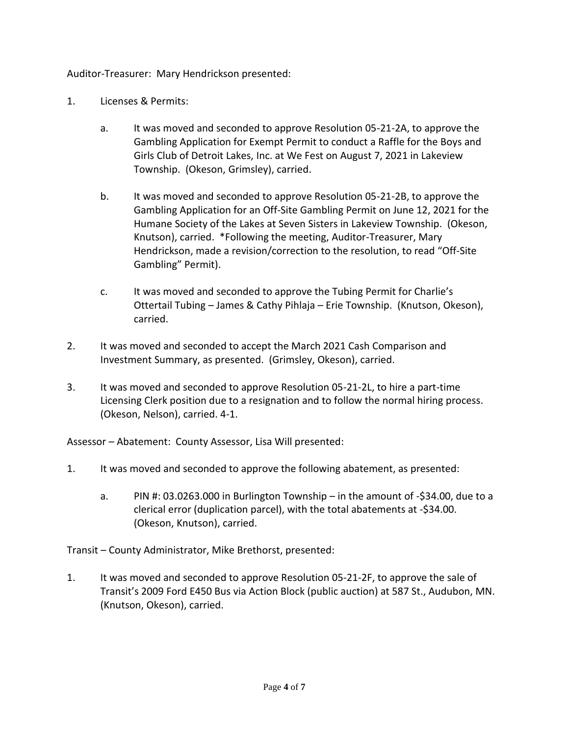Auditor-Treasurer: Mary Hendrickson presented:

- 1. Licenses & Permits:
	- a. It was moved and seconded to approve Resolution 05-21-2A, to approve the Gambling Application for Exempt Permit to conduct a Raffle for the Boys and Girls Club of Detroit Lakes, Inc. at We Fest on August 7, 2021 in Lakeview Township. (Okeson, Grimsley), carried.
	- b. It was moved and seconded to approve Resolution 05-21-2B, to approve the Gambling Application for an Off-Site Gambling Permit on June 12, 2021 for the Humane Society of the Lakes at Seven Sisters in Lakeview Township. (Okeson, Knutson), carried. \*Following the meeting, Auditor-Treasurer, Mary Hendrickson, made a revision/correction to the resolution, to read "Off-Site Gambling" Permit).
	- c. It was moved and seconded to approve the Tubing Permit for Charlie's Ottertail Tubing – James & Cathy Pihlaja – Erie Township. (Knutson, Okeson), carried.
- 2. It was moved and seconded to accept the March 2021 Cash Comparison and Investment Summary, as presented. (Grimsley, Okeson), carried.
- 3. It was moved and seconded to approve Resolution 05-21-2L, to hire a part-time Licensing Clerk position due to a resignation and to follow the normal hiring process. (Okeson, Nelson), carried. 4-1.

Assessor – Abatement: County Assessor, Lisa Will presented:

- 1. It was moved and seconded to approve the following abatement, as presented:
	- a. PIN #: 03.0263.000 in Burlington Township in the amount of -\$34.00, due to a clerical error (duplication parcel), with the total abatements at -\$34.00. (Okeson, Knutson), carried.

Transit – County Administrator, Mike Brethorst, presented:

1. It was moved and seconded to approve Resolution 05-21-2F, to approve the sale of Transit's 2009 Ford E450 Bus via Action Block (public auction) at 587 St., Audubon, MN. (Knutson, Okeson), carried.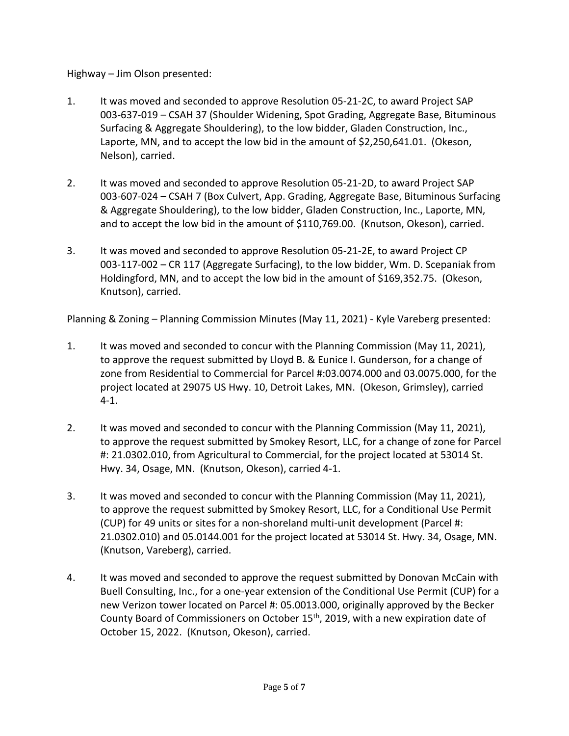Highway – Jim Olson presented:

- 1. It was moved and seconded to approve Resolution 05-21-2C, to award Project SAP 003-637-019 – CSAH 37 (Shoulder Widening, Spot Grading, Aggregate Base, Bituminous Surfacing & Aggregate Shouldering), to the low bidder, Gladen Construction, Inc., Laporte, MN, and to accept the low bid in the amount of \$2,250,641.01. (Okeson, Nelson), carried.
- 2. It was moved and seconded to approve Resolution 05-21-2D, to award Project SAP 003-607-024 – CSAH 7 (Box Culvert, App. Grading, Aggregate Base, Bituminous Surfacing & Aggregate Shouldering), to the low bidder, Gladen Construction, Inc., Laporte, MN, and to accept the low bid in the amount of \$110,769.00. (Knutson, Okeson), carried.
- 3. It was moved and seconded to approve Resolution 05-21-2E, to award Project CP 003-117-002 – CR 117 (Aggregate Surfacing), to the low bidder, Wm. D. Scepaniak from Holdingford, MN, and to accept the low bid in the amount of \$169,352.75. (Okeson, Knutson), carried.

Planning & Zoning – Planning Commission Minutes (May 11, 2021) - Kyle Vareberg presented:

- 1. It was moved and seconded to concur with the Planning Commission (May 11, 2021), to approve the request submitted by Lloyd B. & Eunice I. Gunderson, for a change of zone from Residential to Commercial for Parcel #:03.0074.000 and 03.0075.000, for the project located at 29075 US Hwy. 10, Detroit Lakes, MN. (Okeson, Grimsley), carried 4-1.
- 2. It was moved and seconded to concur with the Planning Commission (May 11, 2021), to approve the request submitted by Smokey Resort, LLC, for a change of zone for Parcel #: 21.0302.010, from Agricultural to Commercial, for the project located at 53014 St. Hwy. 34, Osage, MN. (Knutson, Okeson), carried 4-1.
- 3. It was moved and seconded to concur with the Planning Commission (May 11, 2021), to approve the request submitted by Smokey Resort, LLC, for a Conditional Use Permit (CUP) for 49 units or sites for a non-shoreland multi-unit development (Parcel #: 21.0302.010) and 05.0144.001 for the project located at 53014 St. Hwy. 34, Osage, MN. (Knutson, Vareberg), carried.
- 4. It was moved and seconded to approve the request submitted by Donovan McCain with Buell Consulting, Inc., for a one-year extension of the Conditional Use Permit (CUP) for a new Verizon tower located on Parcel #: 05.0013.000, originally approved by the Becker County Board of Commissioners on October 15<sup>th</sup>, 2019, with a new expiration date of October 15, 2022. (Knutson, Okeson), carried.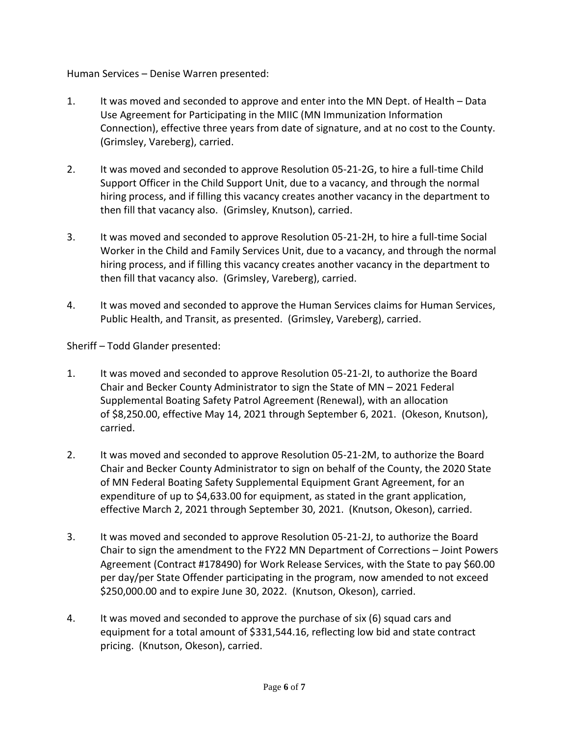Human Services – Denise Warren presented:

- 1. It was moved and seconded to approve and enter into the MN Dept. of Health Data Use Agreement for Participating in the MIIC (MN Immunization Information Connection), effective three years from date of signature, and at no cost to the County. (Grimsley, Vareberg), carried.
- 2. It was moved and seconded to approve Resolution 05-21-2G, to hire a full-time Child Support Officer in the Child Support Unit, due to a vacancy, and through the normal hiring process, and if filling this vacancy creates another vacancy in the department to then fill that vacancy also. (Grimsley, Knutson), carried.
- 3. It was moved and seconded to approve Resolution 05-21-2H, to hire a full-time Social Worker in the Child and Family Services Unit, due to a vacancy, and through the normal hiring process, and if filling this vacancy creates another vacancy in the department to then fill that vacancy also. (Grimsley, Vareberg), carried.
- 4. It was moved and seconded to approve the Human Services claims for Human Services, Public Health, and Transit, as presented. (Grimsley, Vareberg), carried.

Sheriff – Todd Glander presented:

- 1. It was moved and seconded to approve Resolution 05-21-2I, to authorize the Board Chair and Becker County Administrator to sign the State of MN – 2021 Federal Supplemental Boating Safety Patrol Agreement (Renewal), with an allocation of \$8,250.00, effective May 14, 2021 through September 6, 2021. (Okeson, Knutson), carried.
- 2. It was moved and seconded to approve Resolution 05-21-2M, to authorize the Board Chair and Becker County Administrator to sign on behalf of the County, the 2020 State of MN Federal Boating Safety Supplemental Equipment Grant Agreement, for an expenditure of up to \$4,633.00 for equipment, as stated in the grant application, effective March 2, 2021 through September 30, 2021. (Knutson, Okeson), carried.
- 3. It was moved and seconded to approve Resolution 05-21-2J, to authorize the Board Chair to sign the amendment to the FY22 MN Department of Corrections – Joint Powers Agreement (Contract #178490) for Work Release Services, with the State to pay \$60.00 per day/per State Offender participating in the program, now amended to not exceed \$250,000.00 and to expire June 30, 2022. (Knutson, Okeson), carried.
- 4. It was moved and seconded to approve the purchase of six (6) squad cars and equipment for a total amount of \$331,544.16, reflecting low bid and state contract pricing. (Knutson, Okeson), carried.